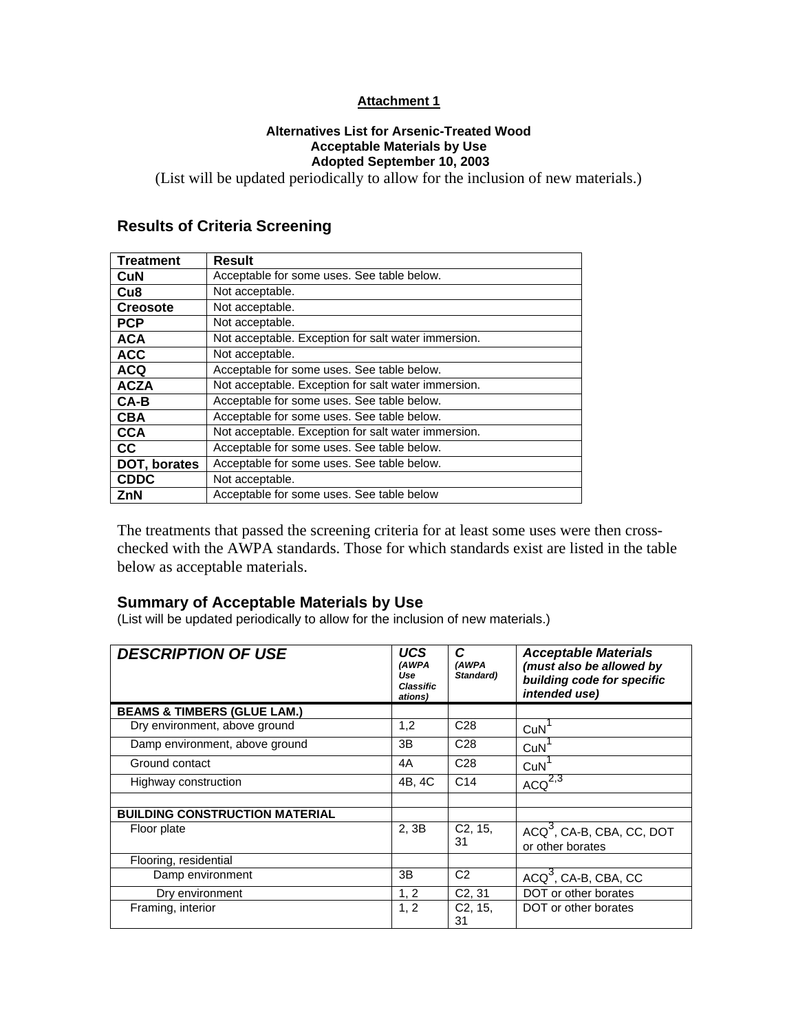### **Attachment 1**

#### **Alternatives List for Arsenic-Treated Wood Acceptable Materials by Use Adopted September 10, 2003**

(List will be updated periodically to allow for the inclusion of new materials.)

# **Results of Criteria Screening**

| <b>Treatment</b> | <b>Result</b>                                       |
|------------------|-----------------------------------------------------|
| <b>CuN</b>       | Acceptable for some uses. See table below.          |
| Cu <sub>8</sub>  | Not acceptable.                                     |
| <b>Creosote</b>  | Not acceptable.                                     |
| <b>PCP</b>       | Not acceptable.                                     |
| <b>ACA</b>       | Not acceptable. Exception for salt water immersion. |
| <b>ACC</b>       | Not acceptable.                                     |
| <b>ACQ</b>       | Acceptable for some uses. See table below.          |
| <b>ACZA</b>      | Not acceptable. Exception for salt water immersion. |
| $CA-B$           | Acceptable for some uses. See table below.          |
| <b>CBA</b>       | Acceptable for some uses. See table below.          |
| <b>CCA</b>       | Not acceptable. Exception for salt water immersion. |
| cc               | Acceptable for some uses. See table below.          |
| DOT, borates     | Acceptable for some uses. See table below.          |
| <b>CDDC</b>      | Not acceptable.                                     |
| ZnN              | Acceptable for some uses. See table below           |

The treatments that passed the screening criteria for at least some uses were then crosschecked with the AWPA standards. Those for which standards exist are listed in the table below as acceptable materials.

## **Summary of Acceptable Materials by Use**

(List will be updated periodically to allow for the inclusion of new materials.)

| <b>DESCRIPTION OF USE</b>              | <b>UCS</b><br>(AWPA<br>Use<br>Classific<br>ations) | C<br>(AWPA<br>Standard) | <b>Acceptable Materials</b><br>(must also be allowed by<br>building code for specific<br>intended use) |
|----------------------------------------|----------------------------------------------------|-------------------------|--------------------------------------------------------------------------------------------------------|
| <b>BEAMS &amp; TIMBERS (GLUE LAM.)</b> |                                                    |                         |                                                                                                        |
| Dry environment, above ground          | 1,2                                                | C <sub>28</sub>         | CuN                                                                                                    |
| Damp environment, above ground         | 3B                                                 | C <sub>28</sub>         | CuN                                                                                                    |
| Ground contact                         | 4A                                                 | C <sub>28</sub>         | CuN                                                                                                    |
| Highway construction                   | 4B, 4C                                             | C <sub>14</sub>         | $ACQ^{2,3}$                                                                                            |
|                                        |                                                    |                         |                                                                                                        |
| <b>BUILDING CONSTRUCTION MATERIAL</b>  |                                                    |                         |                                                                                                        |
| Floor plate                            | 2, 3B                                              | C2, 15,<br>31           | ACQ <sup>3</sup> , CA-B, CBA, CC, DOT<br>or other borates                                              |
| Flooring, residential                  |                                                    |                         |                                                                                                        |
| Damp environment                       | 3B                                                 | C <sub>2</sub>          | $ACQ3$ , CA-B, CBA, CC                                                                                 |
| Dry environment                        | 1, 2                                               | C <sub>2</sub> , 31     | DOT or other borates                                                                                   |
| Framing, interior                      | 1, 2                                               | $C2$ , 15,<br>31        | DOT or other borates                                                                                   |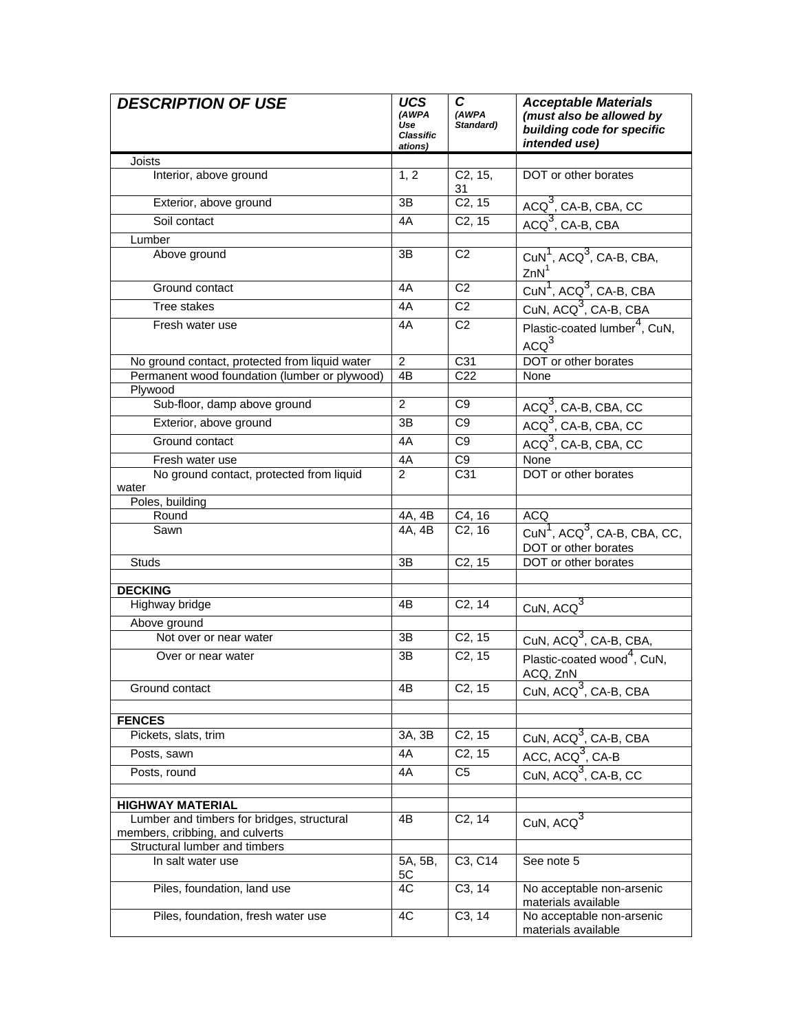| <b>DESCRIPTION OF USE</b>                                             | <b>UCS</b><br>(AWPA<br>Use<br><b>Classific</b><br>ations) | C<br>(AWPA<br>Standard) | <b>Acceptable Materials</b><br>(must also be allowed by<br>building code for specific<br>intended use) |
|-----------------------------------------------------------------------|-----------------------------------------------------------|-------------------------|--------------------------------------------------------------------------------------------------------|
| Joists                                                                |                                                           |                         |                                                                                                        |
| Interior, above ground                                                | 1, 2                                                      | C2, 15,<br>31           | DOT or other borates                                                                                   |
| Exterior, above ground                                                | ЗB                                                        | C <sub>2</sub> , 15     | $ACQ3$ , CA-B, CBA, CC                                                                                 |
| Soil contact                                                          | 4A                                                        | C2, 15                  | $ACQ3$ , CA-B, CBA                                                                                     |
| Lumber                                                                |                                                           |                         |                                                                                                        |
| Above ground                                                          | ЗB                                                        | C <sub>2</sub>          | CuN <sup>1</sup> , ACQ <sup>3</sup> , CA-B, CBA,<br>ZnN <sup>1</sup>                                   |
| Ground contact                                                        | 4A                                                        | C <sub>2</sub>          | CuN <sup>1</sup> , ACQ <sup>3</sup> , CA-B, CBA                                                        |
| Tree stakes                                                           | 4A                                                        | $\overline{C2}$         | CuN, ACQ <sup>3</sup> , CA-B, CBA                                                                      |
| Fresh water use                                                       | 4A                                                        | C <sub>2</sub>          | Plastic-coated lumber <sup>4</sup> , CuN,<br>ACQ <sup>3</sup>                                          |
| No ground contact, protected from liquid water                        | $\overline{2}$                                            | C31                     | DOT or other borates                                                                                   |
| Permanent wood foundation (lumber or plywood)                         | 4B                                                        | C <sub>22</sub>         | None                                                                                                   |
| Plywood                                                               |                                                           |                         |                                                                                                        |
| Sub-floor, damp above ground                                          | $\overline{2}$                                            | C <sub>9</sub>          | ACQ <sup>3</sup> , CA-B, CBA, CC                                                                       |
| Exterior, above ground                                                | 3B                                                        | C <sub>9</sub>          | $ACQ3$ , CA-B, CBA, CC                                                                                 |
| Ground contact                                                        | 4A                                                        | C9                      | $ACQ3$ , CA-B, CBA, CC                                                                                 |
| Fresh water use                                                       | 4A                                                        | C <sub>9</sub>          | None                                                                                                   |
| No ground contact, protected from liquid<br>water                     | $\mathcal{P}$                                             | C31                     | DOT or other borates                                                                                   |
| Poles, building<br>Round                                              |                                                           |                         | ACQ                                                                                                    |
| Sawn                                                                  | 4A, 4B<br>4A, 4B                                          | C4, 16<br>C2, 16        | $CuN1$ , ACQ <sup>3</sup> , CA-B, CBA, CC,<br>DOT or other borates                                     |
| Studs                                                                 | ЗB                                                        | C <sub>2</sub> , 15     | DOT or other borates                                                                                   |
|                                                                       |                                                           |                         |                                                                                                        |
| <b>DECKING</b>                                                        |                                                           |                         |                                                                                                        |
| Highway bridge                                                        | 4B                                                        | C2, 14                  | CuN, $ACQ^3$                                                                                           |
| Above ground                                                          |                                                           |                         |                                                                                                        |
| Not over or near water                                                | ЗB                                                        | C <sub>2</sub> , 15     | CuN, ACQ <sup>3</sup> , CA-B, CBA,                                                                     |
| Over or near water                                                    | 3B                                                        | C2, 15                  | Plastic-coated wood <sup>4</sup> , CuN,<br>ACQ. ZnN                                                    |
| Ground contact                                                        | 4Β                                                        | C <sub>2</sub> , 15     | CuN, ACQ <sup>3</sup> , CA-B, CBA                                                                      |
|                                                                       |                                                           |                         |                                                                                                        |
| <b>FENCES</b>                                                         |                                                           |                         |                                                                                                        |
| Pickets, slats, trim                                                  | 3A, 3B                                                    | C <sub>2</sub> , 15     | CuN, ACQ <sup>3</sup> , CA-B, CBA                                                                      |
| Posts, sawn                                                           | 4A                                                        | C2, 15                  | ACC, ACQ <sup>3</sup> , CA-B                                                                           |
| Posts, round                                                          | 4A                                                        | C <sub>5</sub>          | CuN, ACQ <sup>3</sup> , CA-B, CC                                                                       |
|                                                                       |                                                           |                         |                                                                                                        |
| <b>HIGHWAY MATERIAL</b><br>Lumber and timbers for bridges, structural | 4Β                                                        | C <sub>2</sub> , 14     |                                                                                                        |
| members, cribbing, and culverts                                       |                                                           |                         | CuN, $ACQ^3$                                                                                           |
| Structural lumber and timbers                                         |                                                           |                         |                                                                                                        |
| In salt water use                                                     | 5A, 5B,<br>5C                                             | C3, C14                 | See note 5                                                                                             |
| Piles, foundation, land use                                           | 4C                                                        | C <sub>3</sub> , 14     | No acceptable non-arsenic<br>materials available                                                       |
| Piles, foundation, fresh water use                                    | 4C                                                        | C3, 14                  | No acceptable non-arsenic<br>materials available                                                       |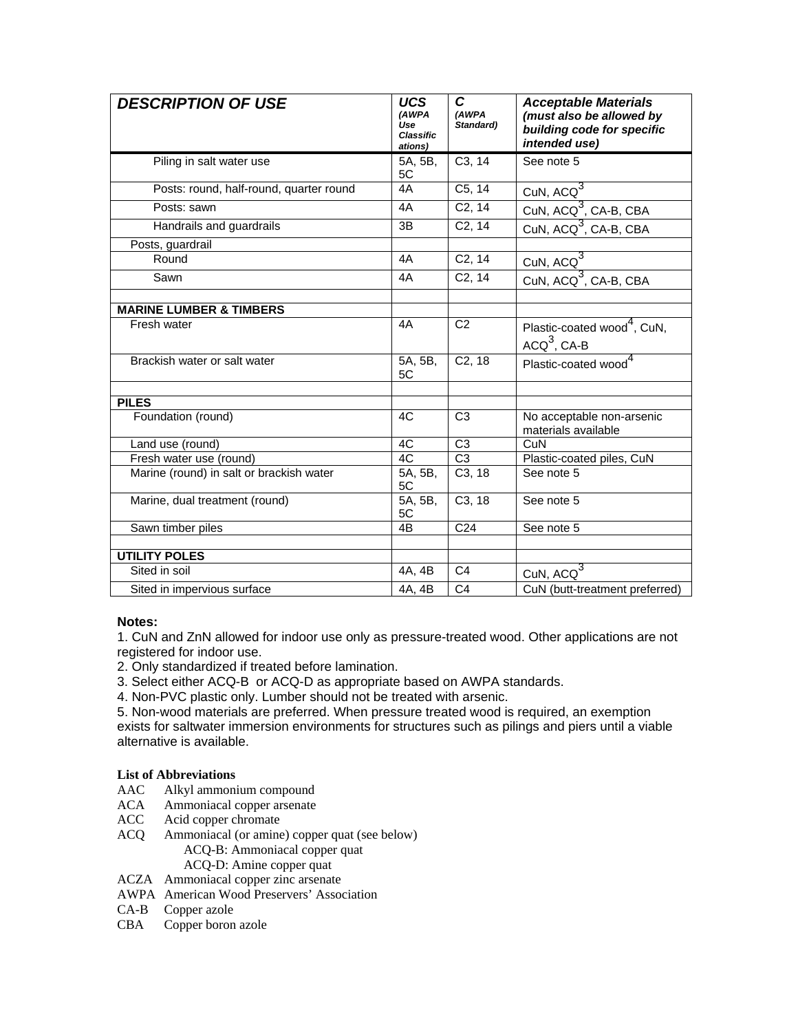| <b>DESCRIPTION OF USE</b>                | <b>UCS</b><br>(AWPA<br>Use<br><b>Classific</b><br>ations) | C<br>(AWPA<br>Standard) | <b>Acceptable Materials</b><br>(must also be allowed by<br>building code for specific<br>intended use) |
|------------------------------------------|-----------------------------------------------------------|-------------------------|--------------------------------------------------------------------------------------------------------|
| Piling in salt water use                 | 5A, 5B,<br>5C                                             | C3, 14                  | See note 5                                                                                             |
| Posts: round, half-round, quarter round  | 4A                                                        | C5, 14                  | CuN, $ACQ^3$                                                                                           |
| Posts: sawn                              | 4A                                                        | C <sub>2</sub> , 14     | CuN, ACQ <sup>3</sup> , CA-B, CBA                                                                      |
| Handrails and guardrails                 | 3B                                                        | C <sub>2</sub> , 14     | CuN, ACQ <sup>3</sup> , CA-B, CBA                                                                      |
| Posts, guardrail                         |                                                           |                         |                                                                                                        |
| Round                                    | 4A                                                        | C <sub>2</sub> , 14     | CuN, $ACQ^3$                                                                                           |
| Sawn                                     | 4A                                                        | C <sub>2</sub> , 14     | CuN, ACQ <sup>3</sup> , CA-B, CBA                                                                      |
| <b>MARINE LUMBER &amp; TIMBERS</b>       |                                                           |                         |                                                                                                        |
| Fresh water                              | 4A                                                        | C <sub>2</sub>          | Plastic-coated wood <sup>4</sup> , CuN,<br>$ACQ3$ , $CA-B$                                             |
| Brackish water or salt water             | 5A, 5B,<br>5C                                             | $C2$ , 18               | Plastic-coated wood <sup>4</sup>                                                                       |
| <b>PILES</b>                             |                                                           |                         |                                                                                                        |
| Foundation (round)                       | 4C                                                        | C <sub>3</sub>          | No acceptable non-arsenic<br>materials available                                                       |
| Land use (round)                         | 4C                                                        | C <sub>3</sub>          | CuN                                                                                                    |
| Fresh water use (round)                  | 4C                                                        | $\overline{C3}$         | Plastic-coated piles, CuN                                                                              |
| Marine (round) in salt or brackish water | 5A, 5B,<br>5C                                             | $\overline{C3, 18}$     | See note 5                                                                                             |
| Marine, dual treatment (round)           | 5A, 5B,<br>5C                                             | C <sub>3</sub> , 18     | See note 5                                                                                             |
| Sawn timber piles                        | 4B                                                        | C <sub>24</sub>         | See note 5                                                                                             |
| <b>UTILITY POLES</b>                     |                                                           |                         |                                                                                                        |
| Sited in soil                            | 4A, 4B                                                    | C <sub>4</sub>          |                                                                                                        |
|                                          |                                                           |                         | CuN, $ACQ^3$                                                                                           |
| Sited in impervious surface              | 4A, 4B                                                    | C <sub>4</sub>          | CuN (butt-treatment preferred)                                                                         |

### **Notes:**

1. CuN and ZnN allowed for indoor use only as pressure-treated wood. Other applications are not registered for indoor use.

- 2. Only standardized if treated before lamination.
- 3. Select either ACQ-B or ACQ-D as appropriate based on AWPA standards.
- 4. Non-PVC plastic only. Lumber should not be treated with arsenic.

5. Non-wood materials are preferred. When pressure treated wood is required, an exemption exists for saltwater immersion environments for structures such as pilings and piers until a viable alternative is available.

#### **List of Abbreviations**

- AAC Alkyl ammonium compound
- ACA Ammoniacal copper arsenate<br>ACC Acid copper chromate
- Acid copper chromate
- ACQ Ammoniacal (or amine) copper quat (see below) ACQ-B: Ammoniacal copper quat ACQ-D: Amine copper quat
- ACZA Ammoniacal copper zinc arsenate
- AWPA American Wood Preservers' Association
- CA-B Copper azole
- CBA Copper boron azole